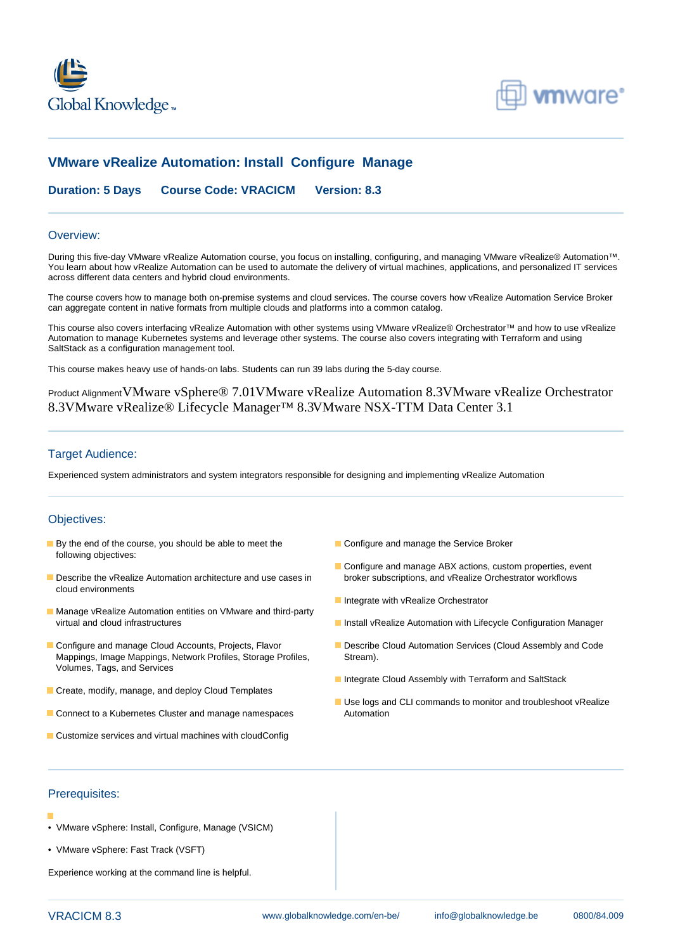



# **VMware vRealize Automation: Install Configure Manage**

**Duration: 5 Days Course Code: VRACICM Version: 8.3**

#### Overview:

During this five-day VMware vRealize Automation course, you focus on installing, configuring, and managing VMware vRealize® Automation™. You learn about how vRealize Automation can be used to automate the delivery of virtual machines, applications, and personalized IT services across different data centers and hybrid cloud environments.

The course covers how to manage both on-premise systems and cloud services. The course covers how vRealize Automation Service Broker can aggregate content in native formats from multiple clouds and platforms into a common catalog.

This course also covers interfacing vRealize Automation with other systems using VMware vRealize® Orchestrator™ and how to use vRealize Automation to manage Kubernetes systems and leverage other systems. The course also covers integrating with Terraform and using SaltStack as a configuration management tool.

This course makes heavy use of hands-on labs. Students can run 39 labs during the 5-day course.

Product AlignmentVMware vSphere® 7.01VMware vRealize Automation 8.3VMware vRealize Orchestrator 8.3VMware vRealize® Lifecycle Manager™ 8.3VMware NSX-TTM Data Center 3.1

### Target Audience:

Experienced system administrators and system integrators responsible for designing and implementing vRealize Automation

#### Objectives:

- **By the end of the course, you should be able to meet the Configure and manage the Service Broker** following objectives:
- Describe the vRealize Automation architecture and use cases in broker subscriptions, and vRealize Orchestrator workflows cloud environments
- **Manage vRealize Automation entities on VMware and third-party** virtual and cloud infrastructures **Install vRealize Automation with Lifecycle Configuration Manager**
- Mappings, Image Mappings, Network Profiles, Storage Profiles, Stream). Volumes, Tags, and Services
- Create, modify, manage, and deploy Cloud Templates
- **E** Connect to a Kubernetes Cluster and manage namespaces Automation
- **Customize services and virtual machines with cloudConfig**
- 
- Configure and manage ABX actions, custom properties, event
- Integrate with vRealize Orchestrator
- 
- Configure and manage Cloud Accounts, Projects, Flavor **Describe Cloud Automation Services (Cloud Assembly and Code** 
	- Integrate Cloud Assembly with Terraform and SaltStack
	- Use logs and CLI commands to monitor and troubleshoot vRealize

### Prerequisites:

- 
- VMware vSphere: Install, Configure, Manage (VSICM)
- VMware vSphere: Fast Track (VSFT)

Experience working at the command line is helpful.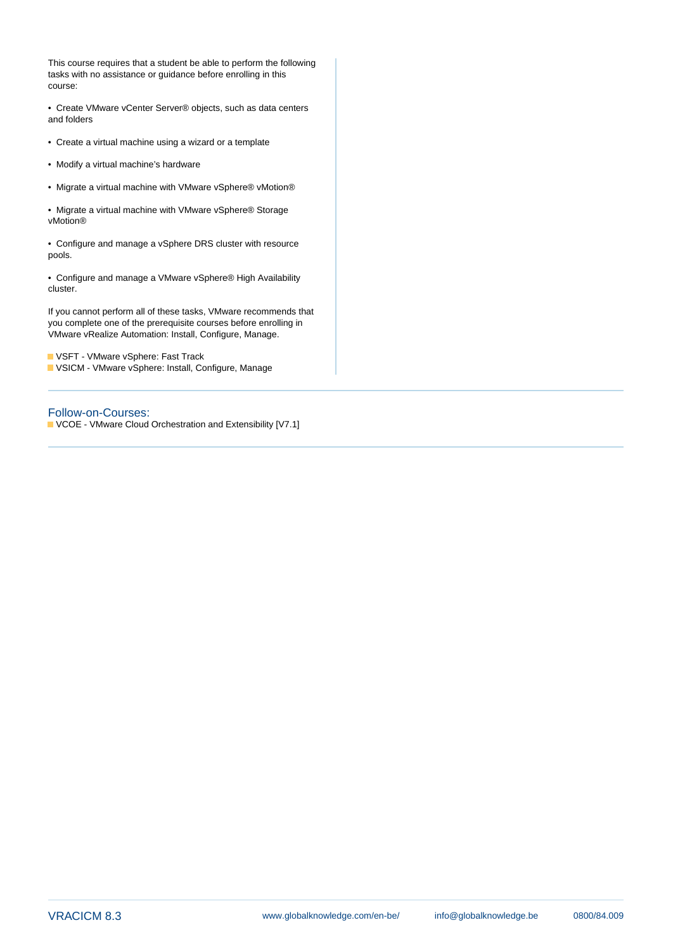This course requires that a student be able to perform the following tasks with no assistance or guidance before enrolling in this course:

• Create VMware vCenter Server® objects, such as data centers and folders

- Create a virtual machine using a wizard or a template
- Modify a virtual machine's hardware
- Migrate a virtual machine with VMware vSphere® vMotion®

• Migrate a virtual machine with VMware vSphere® Storage vMotion®

• Configure and manage a vSphere DRS cluster with resource pools.

• Configure and manage a VMware vSphere® High Availability cluster.

If you cannot perform all of these tasks, VMware recommends that you complete one of the prerequisite courses before enrolling in VMware vRealize Automation: Install, Configure, Manage.

**VSFT - VMware vSphere: Fast Track** VSICM - VMware vSphere: Install, Configure, Manage

### Follow-on-Courses:

VCOE - VMware Cloud Orchestration and Extensibility [V7.1]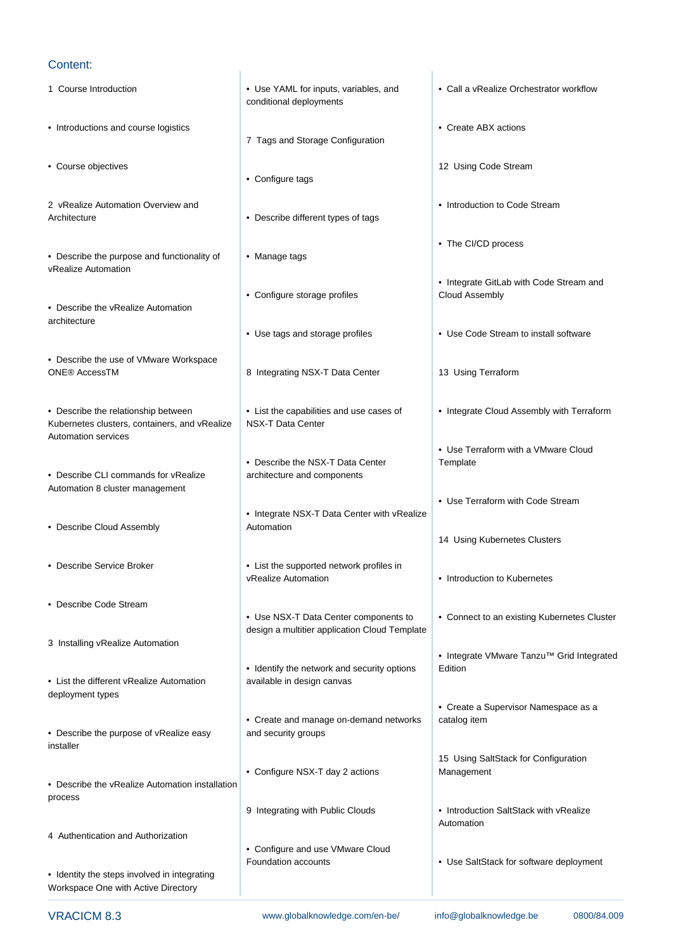### Content:

- 
- Introductions and course logistics  **Create ABX** actions
- Course objectives **12 Using Code Stream**
- 2 vRealize Automation Overview and Introduction to Code Stream Architecture **• Describe different types of tags**
- Describe the purpose and functionality of  $\bullet$  Manage tags vRealize Automation

line line

- Describe the vRealize Automation architecture
- Describe the use of VMware Workspace ONE® AccessTM **8** Integrating NSX-T Data Center 13 Using Terraform

• Describe the relationship between • List the capabilities and use cases of • Integrate Cloud Assembly with Terraform Kubernetes clusters, containers, and vRealize | NSX-T Data Center Automation services

- Describe CLI commands for vRealize architecture and components Automation 8 cluster management
- Describe Cloud Assembly **Automation**
- 
- Describe Code Stream
- 3 Installing vRealize Automation
- List the different vRealize Automation | available in design canvas deployment types
- Describe the purpose of vRealize easy and security groups installer
- Describe the vRealize Automation installation process
- 4 Authentication and Authorization

• Identity the steps involved in integrating Workspace One with Active Directory

- conditional deployments
- 7 Tags and Storage Configuration
- Configure tags
- 
- 

line line line

- Configure storage profiles Cloud Assembly
- 
- 

line line

- 
- Describe the NSX-T Data Center Template
- Integrate NSX-T Data Center with vRealize
- Describe Service Broker List the supported network profiles in vRealize Automation **• Introduction to Kubernetes** 
	- Use NSX-T Data Center components to  $\|\cdot\|$  Connect to an existing Kubernetes Cluster design a multitier application Cloud Template

line line

- Identify the network and security options Edition
- Create and manage on-demand networks | catalog item
- Configure NSX-T day 2 actions Management
- 
- Configure and use VMware Cloud Foundation accounts • Use SaltStack for software deployment
- 
- 1 Course Introduction  **Use YAML for inputs, variables, and** Call a vRealize Orchestrator workflow
	-
	-
	-
	- The CI/CD process
	- Integrate GitLab with Code Stream and
	- Use tags and storage profiles Use Code Stream to install software
		-
		-
		- Use Terraform with a VMware Cloud
		- Use Terraform with Code Stream
		- 14 Using Kubernetes Clusters
		-
		-
		- Integrate VMware Tanzu™ Grid Integrated
		- Create a Supervisor Namespace as a
		- 15 Using SaltStack for Configuration
	- 9 Integrating with Public Clouds Introduction SaltStack with vRealize Automation
		-